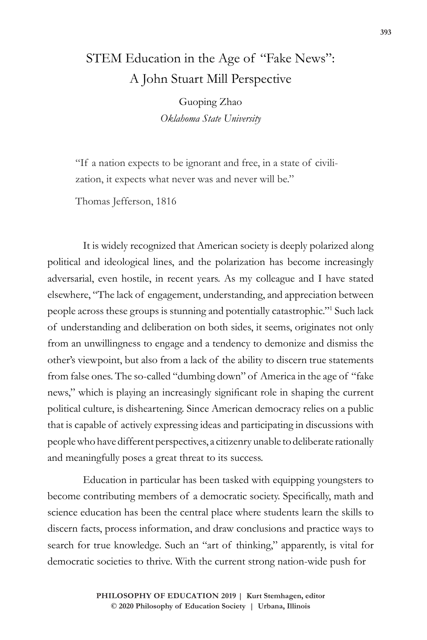# STEM Education in the Age of "Fake News": A John Stuart Mill Perspective

Guoping Zhao *Oklahoma State University*

"If a nation expects to be ignorant and free, in a state of civilization, it expects what never was and never will be."

Thomas Jefferson, 1816

It is widely recognized that American society is deeply polarized along political and ideological lines, and the polarization has become increasingly adversarial, even hostile, in recent years. As my colleague and I have stated elsewhere, "The lack of engagement, understanding, and appreciation between people across these groups is stunning and potentially catastrophic."1 Such lack of understanding and deliberation on both sides, it seems, originates not only from an unwillingness to engage and a tendency to demonize and dismiss the other's viewpoint, but also from a lack of the ability to discern true statements from false ones. The so-called "dumbing down" of America in the age of "fake news," which is playing an increasingly significant role in shaping the current political culture, is disheartening. Since American democracy relies on a public that is capable of actively expressing ideas and participating in discussions with people who have different perspectives, a citizenry unable to deliberate rationally and meaningfully poses a great threat to its success.

Education in particular has been tasked with equipping youngsters to become contributing members of a democratic society. Specifically, math and science education has been the central place where students learn the skills to discern facts, process information, and draw conclusions and practice ways to search for true knowledge. Such an "art of thinking," apparently, is vital for democratic societies to thrive. With the current strong nation-wide push for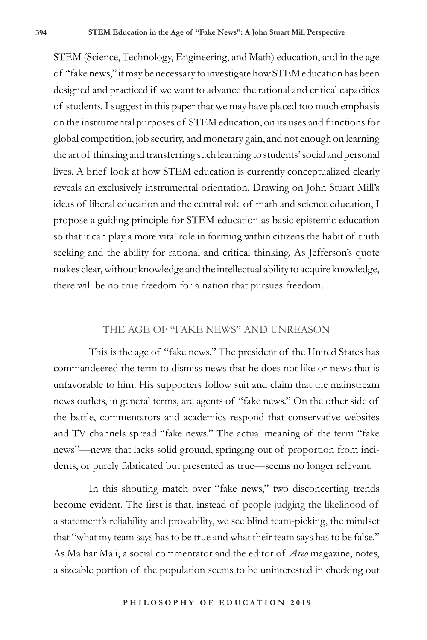STEM (Science, Technology, Engineering, and Math) education, and in the age of "fake news," it may be necessary to investigate how STEM education has been designed and practiced if we want to advance the rational and critical capacities of students. I suggest in this paper that we may have placed too much emphasis on the instrumental purposes of STEM education, on its uses and functions for global competition, job security, and monetary gain, and not enough on learning the art of thinking and transferring such learning to students' social and personal lives. A brief look at how STEM education is currently conceptualized clearly reveals an exclusively instrumental orientation. Drawing on John Stuart Mill's ideas of liberal education and the central role of math and science education, I propose a guiding principle for STEM education as basic epistemic education so that it can play a more vital role in forming within citizens the habit of truth seeking and the ability for rational and critical thinking. As Jefferson's quote makes clear, without knowledge and the intellectual ability to acquire knowledge, there will be no true freedom for a nation that pursues freedom.

## THE AGE OF "FAKE NEWS" AND UNREASON

This is the age of "fake news." The president of the United States has commandeered the term to dismiss news that he does not like or news that is unfavorable to him. His supporters follow suit and claim that the mainstream news outlets, in general terms, are agents of "fake news." On the other side of the battle, commentators and academics respond that conservative websites and TV channels spread "fake news." The actual meaning of the term "fake news"—news that lacks solid ground, springing out of proportion from incidents, or purely fabricated but presented as true—seems no longer relevant.

In this shouting match over "fake news," two disconcerting trends become evident. The first is that, instead of people judging the likelihood of a statement's reliability and provability, we see blind team-picking, the mindset that "what my team says has to be true and what their team says has to be false." As Malhar Mali, a social commentator and the editor of *Areo* magazine, notes, a sizeable portion of the population seems to be uninterested in checking out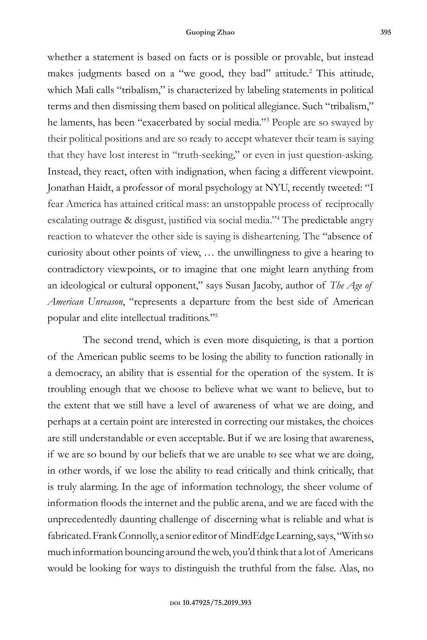whether a statement is based on facts or is possible or provable, but instead makes judgments based on a "we good, they bad" attitude.<sup>2</sup> This attitude, which Mali calls "tribalism," is characterized by labeling statements in political terms and then dismissing them based on political allegiance. Such "tribalism," he laments, has been "exacerbated by social media."3 People are so swayed by their political positions and are so ready to accept whatever their team is saying that they have lost interest in "truth-seeking," or even in just question-asking. Instead, they react, often with indignation, when facing a different viewpoint. Jonathan Haidt, a professor of moral psychology at NYU, recently tweeted: "I fear America has attained critical mass: an unstoppable process of reciprocally escalating outrage & disgust, justified via social media."<sup>4</sup> The predictable angry reaction to whatever the other side is saying is disheartening. The "absence of curiosity about other points of view, … the unwillingness to give a hearing to contradictory viewpoints, or to imagine that one might learn anything from an ideological or cultural opponent," says Susan Jacoby, author of *The Age of American Unreason*, "represents a departure from the best side of American popular and elite intellectual traditions."5

The second trend, which is even more disquieting, is that a portion of the American public seems to be losing the ability to function rationally in a democracy, an ability that is essential for the operation of the system. It is troubling enough that we choose to believe what we want to believe, but to the extent that we still have a level of awareness of what we are doing, and perhaps at a certain point are interested in correcting our mistakes, the choices are still understandable or even acceptable. But if we are losing that awareness, if we are so bound by our beliefs that we are unable to see what we are doing, in other words, if we lose the ability to read critically and think critically, that is truly alarming. In the age of information technology, the sheer volume of information floods the internet and the public arena, and we are faced with the unprecedentedly daunting challenge of discerning what is reliable and what is fabricated. Frank Connolly, a senior editor of MindEdge Learning, says, "With so much information bouncing around the web, you'd think that a lot of Americans would be looking for ways to distinguish the truthful from the false. Alas, no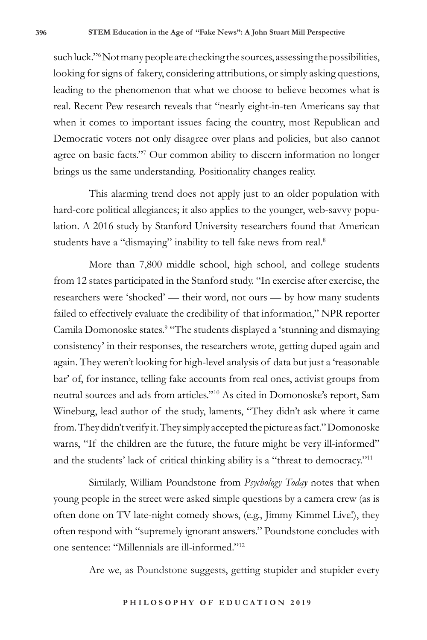such luck."6 Not many people are checking the sources, assessing the possibilities, looking for signs of fakery, considering attributions, or simply asking questions, leading to the phenomenon that what we choose to believe becomes what is real. Recent Pew research reveals that "nearly eight-in-ten Americans say that when it comes to important issues facing the country, most Republican and Democratic voters not only disagree over plans and policies, but also cannot agree on basic facts."7 Our common ability to discern information no longer brings us the same understanding. Positionality changes reality.

This alarming trend does not apply just to an older population with hard-core political allegiances; it also applies to the younger, web-savvy population. A 2016 study by Stanford University researchers found that American students have a "dismaying" inability to tell fake news from real.<sup>8</sup>

More than 7,800 middle school, high school, and college students from 12 states participated in the Stanford study. "In exercise after exercise, the researchers were 'shocked' — their word, not ours — by how many students failed to effectively evaluate the credibility of that information," NPR reporter Camila Domonoske states.<sup>9</sup> "The students displayed a 'stunning and dismaying consistency' in their responses, the researchers wrote, getting duped again and again. They weren't looking for high-level analysis of data but just a 'reasonable bar' of, for instance, telling fake accounts from real ones, activist groups from neutral sources and ads from articles."10 As cited in Domonoske's report, Sam Wineburg, lead author of the study, laments, "They didn't ask where it came from. They didn't verify it. They simply accepted the picture as fact." Domonoske warns, "If the children are the future, the future might be very ill-informed" and the students' lack of critical thinking ability is a "threat to democracy."11

Similarly, William Poundstone from *Psychology Today* notes that when young people in the street were asked simple questions by a camera crew (as is often done on TV late-night comedy shows, (e.g., Jimmy Kimmel Live!), they often respond with "supremely ignorant answers." Poundstone concludes with one sentence: "Millennials are ill-informed."12

Are we, as Poundstone suggests, getting stupider and stupider every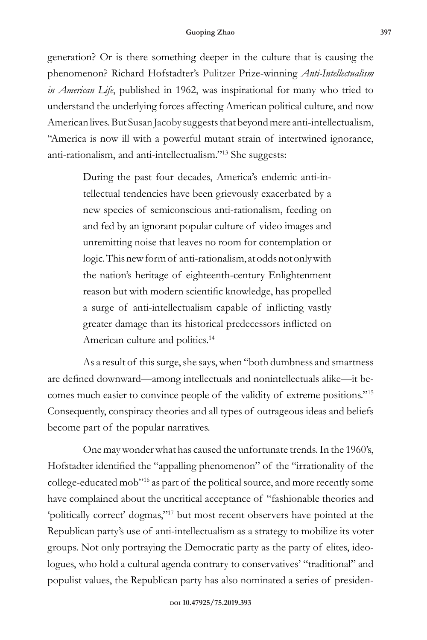generation? Or is there something deeper in the culture that is causing the phenomenon? Richard Hofstadter's Pulitzer Prize-winning *Anti-Intellectualism in American Life*, published in 1962, was inspirational for many who tried to understand the underlying forces affecting American political culture, and now American lives. But Susan Jacoby suggests that beyond mere anti-intellectualism, "America is now ill with a powerful mutant strain of intertwined ignorance, anti-rationalism, and anti-intellectualism."13 She suggests:

> During the past four decades, America's endemic anti-intellectual tendencies have been grievously exacerbated by a new species of semiconscious anti-rationalism, feeding on and fed by an ignorant popular culture of video images and unremitting noise that leaves no room for contemplation or logic. This new form of anti-rationalism, at odds not only with the nation's heritage of eighteenth-century Enlightenment reason but with modern scientific knowledge, has propelled a surge of anti-intellectualism capable of inflicting vastly greater damage than its historical predecessors inflicted on American culture and politics.<sup>14</sup>

As a result of this surge, she says, when "both dumbness and smartness are defined downward—among intellectuals and nonintellectuals alike—it becomes much easier to convince people of the validity of extreme positions."15 Consequently, conspiracy theories and all types of outrageous ideas and beliefs become part of the popular narratives.

One may wonder what has caused the unfortunate trends. In the 1960's, Hofstadter identified the "appalling phenomenon" of the "irrationality of the college-educated mob"16 as part of the political source, and more recently some have complained about the uncritical acceptance of "fashionable theories and 'politically correct' dogmas,"17 but most recent observers have pointed at the Republican party's use of anti-intellectualism as a strategy to mobilize its voter groups. Not only portraying the Democratic party as the party of elites, ideologues, who hold a cultural agenda contrary to conservatives' "traditional" and populist values, the Republican party has also nominated a series of presiden-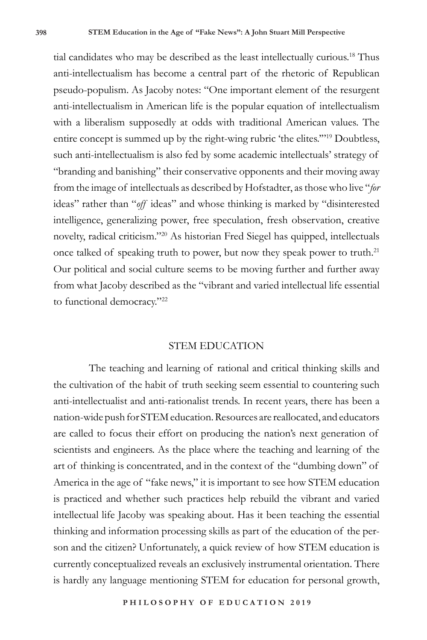tial candidates who may be described as the least intellectually curious.18 Thus anti-intellectualism has become a central part of the rhetoric of Republican pseudo-populism. As Jacoby notes: "One important element of the resurgent anti-intellectualism in American life is the popular equation of intellectualism with a liberalism supposedly at odds with traditional American values. The entire concept is summed up by the right-wing rubric 'the elites.'"19 Doubtless, such anti-intellectualism is also fed by some academic intellectuals' strategy of "branding and banishing" their conservative opponents and their moving away from the image of intellectuals as described by Hofstadter, as those who live "*for* ideas" rather than "*off* ideas" and whose thinking is marked by "disinterested intelligence, generalizing power, free speculation, fresh observation, creative novelty, radical criticism."20 As historian Fred Siegel has quipped, intellectuals once talked of speaking truth to power, but now they speak power to truth.<sup>21</sup> Our political and social culture seems to be moving further and further away from what Jacoby described as the "vibrant and varied intellectual life essential to functional democracy."<sup>22</sup>

### STEM EDUCATION

The teaching and learning of rational and critical thinking skills and the cultivation of the habit of truth seeking seem essential to countering such anti-intellectualist and anti-rationalist trends. In recent years, there has been a nation-wide push for STEM education. Resources are reallocated, and educators are called to focus their effort on producing the nation's next generation of scientists and engineers. As the place where the teaching and learning of the art of thinking is concentrated, and in the context of the "dumbing down" of America in the age of "fake news," it is important to see how STEM education is practiced and whether such practices help rebuild the vibrant and varied intellectual life Jacoby was speaking about. Has it been teaching the essential thinking and information processing skills as part of the education of the person and the citizen? Unfortunately, a quick review of how STEM education is currently conceptualized reveals an exclusively instrumental orientation. There is hardly any language mentioning STEM for education for personal growth,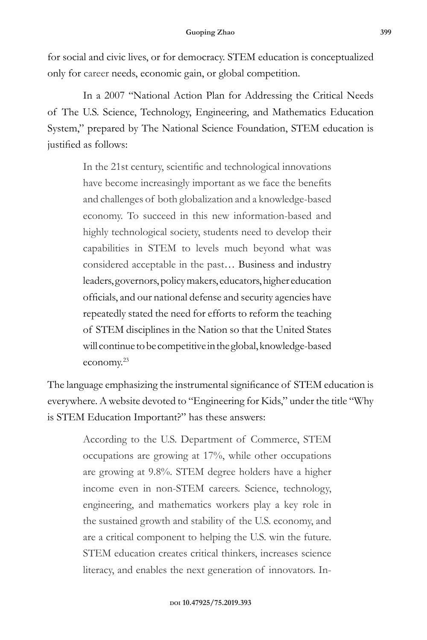for social and civic lives, or for democracy. STEM education is conceptualized only for career needs, economic gain, or global competition.

In a 2007 "National Action Plan for Addressing the Critical Needs of The U.S. Science, Technology, Engineering, and Mathematics Education System," prepared by The National Science Foundation, STEM education is justified as follows:

> In the 21st century, scientific and technological innovations have become increasingly important as we face the benefits and challenges of both globalization and a knowledge-based economy. To succeed in this new information-based and highly technological society, students need to develop their capabilities in STEM to levels much beyond what was considered acceptable in the past… Business and industry leaders, governors, policy makers, educators, higher education officials, and our national defense and security agencies have repeatedly stated the need for efforts to reform the teaching of STEM disciplines in the Nation so that the United States will continue to be competitive in the global, knowledge-based economy.23

The language emphasizing the instrumental significance of STEM education is everywhere. A website devoted to "Engineering for Kids," under the title "Why is STEM Education Important?" has these answers:

> According to the U.S. Department of Commerce, STEM occupations are growing at 17%, while other occupations are growing at 9.8%. STEM degree holders have a higher income even in non-STEM careers. Science, technology, engineering, and mathematics workers play a key role in the sustained growth and stability of the U.S. economy, and are a critical component to helping the U.S. win the future. STEM education creates critical thinkers, increases science literacy, and enables the next generation of innovators. In-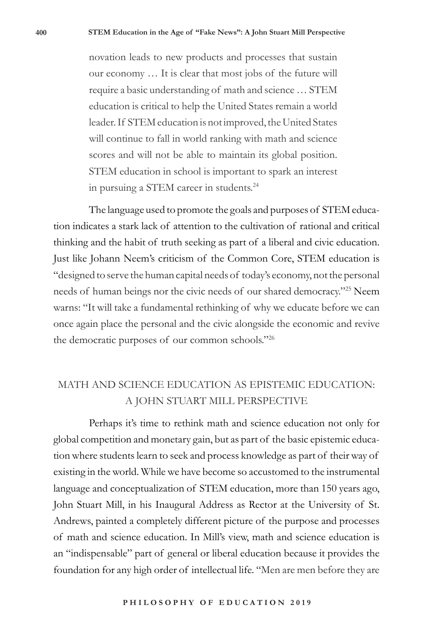novation leads to new products and processes that sustain our economy … It is clear that most jobs of the future will require a basic understanding of math and science … STEM education is critical to help the United States remain a world leader. If STEM education is not improved, the United States will continue to fall in world ranking with math and science scores and will not be able to maintain its global position. STEM education in school is important to spark an interest in pursuing a STEM career in students.<sup>24</sup>

The language used to promote the goals and purposes of STEM education indicates a stark lack of attention to the cultivation of rational and critical thinking and the habit of truth seeking as part of a liberal and civic education. Just like Johann Neem's criticism of the Common Core, STEM education is "designed to serve the human capital needs of today's economy, not the personal needs of human beings nor the civic needs of our shared democracy."<sup>25</sup> Neem warns: "It will take a fundamental rethinking of why we educate before we can once again place the personal and the civic alongside the economic and revive the democratic purposes of our common schools."26

# MATH AND SCIENCE EDUCATION AS EPISTEMIC EDUCATION: A JOHN STUART MILL PERSPECTIVE

Perhaps it's time to rethink math and science education not only for global competition and monetary gain, but as part of the basic epistemic education where students learn to seek and process knowledge as part of their way of existing in the world. While we have become so accustomed to the instrumental language and conceptualization of STEM education, more than 150 years ago, John Stuart Mill, in his Inaugural Address as Rector at the University of St. Andrews, painted a completely different picture of the purpose and processes of math and science education. In Mill's view, math and science education is an "indispensable" part of general or liberal education because it provides the foundation for any high order of intellectual life. "Men are men before they are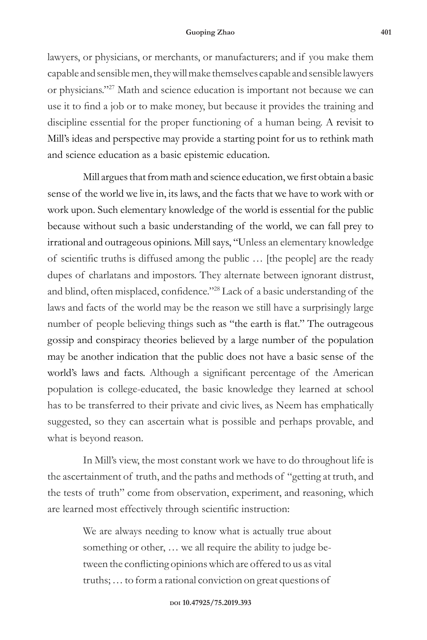#### **Guoping Zhao 401**

lawyers, or physicians, or merchants, or manufacturers; and if you make them capable and sensible men, they will make themselves capable and sensible lawyers or physicians."27 Math and science education is important not because we can use it to find a job or to make money, but because it provides the training and discipline essential for the proper functioning of a human being. A revisit to Mill's ideas and perspective may provide a starting point for us to rethink math and science education as a basic epistemic education.

Mill argues that from math and science education, we first obtain a basic sense of the world we live in, its laws, and the facts that we have to work with or work upon. Such elementary knowledge of the world is essential for the public because without such a basic understanding of the world, we can fall prey to irrational and outrageous opinions. Mill says, "Unless an elementary knowledge of scientific truths is diffused among the public … [the people] are the ready dupes of charlatans and impostors. They alternate between ignorant distrust, and blind, often misplaced, confidence."<sup>28</sup> Lack of a basic understanding of the laws and facts of the world may be the reason we still have a surprisingly large number of people believing things such as "the earth is flat." The outrageous gossip and conspiracy theories believed by a large number of the population may be another indication that the public does not have a basic sense of the world's laws and facts. Although a significant percentage of the American population is college-educated, the basic knowledge they learned at school has to be transferred to their private and civic lives, as Neem has emphatically suggested, so they can ascertain what is possible and perhaps provable, and what is beyond reason.

In Mill's view, the most constant work we have to do throughout life is the ascertainment of truth, and the paths and methods of "getting at truth, and the tests of truth" come from observation, experiment, and reasoning, which are learned most effectively through scientific instruction:

> We are always needing to know what is actually true about something or other, … we all require the ability to judge between the conflicting opinions which are offered to us as vital truths; … to form a rational conviction on great questions of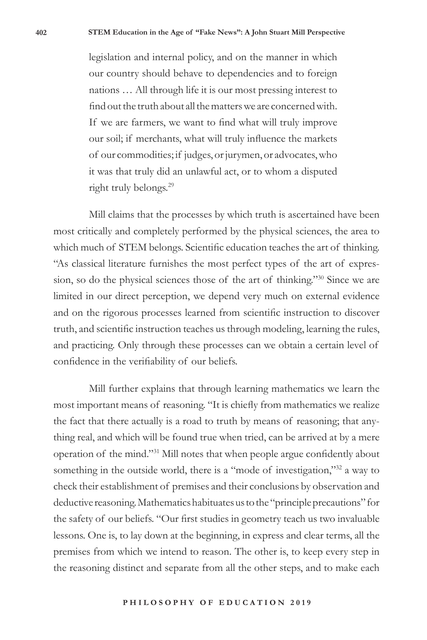legislation and internal policy, and on the manner in which our country should behave to dependencies and to foreign nations … All through life it is our most pressing interest to find out the truth about all the matters we are concerned with. If we are farmers, we want to find what will truly improve our soil; if merchants, what will truly influence the markets of our commodities; if judges, or jurymen, or advocates, who it was that truly did an unlawful act, or to whom a disputed right truly belongs.<sup>29</sup>

Mill claims that the processes by which truth is ascertained have been most critically and completely performed by the physical sciences, the area to which much of STEM belongs. Scientific education teaches the art of thinking. "As classical literature furnishes the most perfect types of the art of expression, so do the physical sciences those of the art of thinking."30 Since we are limited in our direct perception, we depend very much on external evidence and on the rigorous processes learned from scientific instruction to discover truth, and scientific instruction teaches us through modeling, learning the rules, and practicing. Only through these processes can we obtain a certain level of confidence in the verifiability of our beliefs.

Mill further explains that through learning mathematics we learn the most important means of reasoning. "It is chiefly from mathematics we realize the fact that there actually is a road to truth by means of reasoning; that anything real, and which will be found true when tried, can be arrived at by a mere operation of the mind."31 Mill notes that when people argue confidently about something in the outside world, there is a "mode of investigation,"<sup>32</sup> a way to check their establishment of premises and their conclusions by observation and deductive reasoning. Mathematics habituates us to the "principle precautions" for the safety of our beliefs. "Our first studies in geometry teach us two invaluable lessons. One is, to lay down at the beginning, in express and clear terms, all the premises from which we intend to reason. The other is, to keep every step in the reasoning distinct and separate from all the other steps, and to make each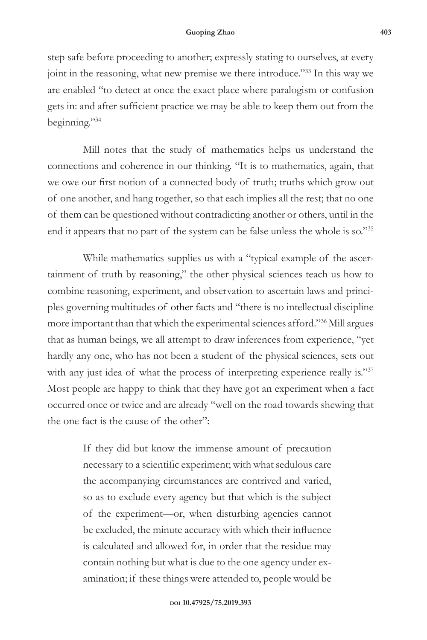step safe before proceeding to another; expressly stating to ourselves, at every joint in the reasoning, what new premise we there introduce."33 In this way we are enabled "to detect at once the exact place where paralogism or confusion gets in: and after sufficient practice we may be able to keep them out from the beginning."34

Mill notes that the study of mathematics helps us understand the connections and coherence in our thinking. "It is to mathematics, again, that we owe our first notion of a connected body of truth; truths which grow out of one another, and hang together, so that each implies all the rest; that no one of them can be questioned without contradicting another or others, until in the end it appears that no part of the system can be false unless the whole is so."35

While mathematics supplies us with a "typical example of the ascertainment of truth by reasoning," the other physical sciences teach us how to combine reasoning, experiment, and observation to ascertain laws and principles governing multitudes of other facts and "there is no intellectual discipline more important than that which the experimental sciences afford."36 Mill argues that as human beings, we all attempt to draw inferences from experience, "yet hardly any one, who has not been a student of the physical sciences, sets out with any just idea of what the process of interpreting experience really is."37 Most people are happy to think that they have got an experiment when a fact occurred once or twice and are already "well on the road towards shewing that the one fact is the cause of the other":

> If they did but know the immense amount of precaution necessary to a scientific experiment; with what sedulous care the accompanying circumstances are contrived and varied, so as to exclude every agency but that which is the subject of the experiment—or, when disturbing agencies cannot be excluded, the minute accuracy with which their influence is calculated and allowed for, in order that the residue may contain nothing but what is due to the one agency under examination; if these things were attended to, people would be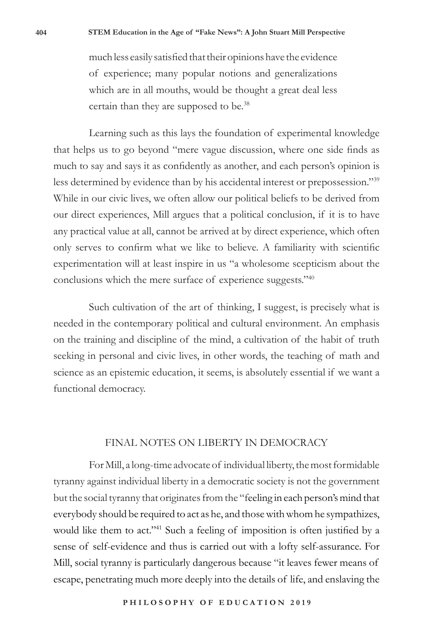much less easily satisfied that their opinions have the evidence of experience; many popular notions and generalizations which are in all mouths, would be thought a great deal less certain than they are supposed to be.<sup>38</sup>

Learning such as this lays the foundation of experimental knowledge that helps us to go beyond "mere vague discussion, where one side finds as much to say and says it as confidently as another, and each person's opinion is less determined by evidence than by his accidental interest or prepossession."39 While in our civic lives, we often allow our political beliefs to be derived from our direct experiences, Mill argues that a political conclusion, if it is to have any practical value at all, cannot be arrived at by direct experience, which often only serves to confirm what we like to believe. A familiarity with scientific experimentation will at least inspire in us "a wholesome scepticism about the conclusions which the mere surface of experience suggests."40

Such cultivation of the art of thinking, I suggest, is precisely what is needed in the contemporary political and cultural environment. An emphasis on the training and discipline of the mind, a cultivation of the habit of truth seeking in personal and civic lives, in other words, the teaching of math and science as an epistemic education, it seems, is absolutely essential if we want a functional democracy.

## FINAL NOTES ON LIBERTY IN DEMOCRACY

For Mill, a long-time advocate of individual liberty, the most formidable tyranny against individual liberty in a democratic society is not the government but the social tyranny that originates from the "feeling in each person's mind that everybody should be required to act as he, and those with whom he sympathizes, would like them to act."<sup>41</sup> Such a feeling of imposition is often justified by a sense of self-evidence and thus is carried out with a lofty self-assurance. For Mill, social tyranny is particularly dangerous because "it leaves fewer means of escape, penetrating much more deeply into the details of life, and enslaving the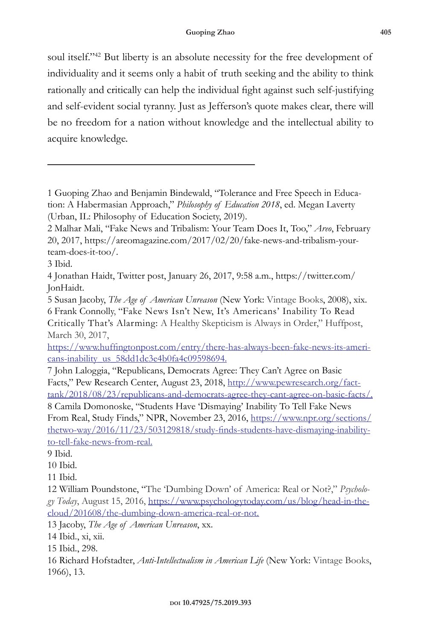soul itself."<sup>42</sup> But liberty is an absolute necessity for the free development of individuality and it seems only a habit of truth seeking and the ability to think rationally and critically can help the individual fight against such self-justifying and self-evident social tyranny. Just as Jefferson's quote makes clear, there will be no freedom for a nation without knowledge and the intellectual ability to acquire knowledge.

13 Jacoby, *The Age of American Unreason*, xx.

14 Ibid., xi, xii.

15 Ibid., 298.

16 Richard Hofstadter, *Anti-Intellectualism in American Life* (New York: Vintage Books, 1966), 13.

<sup>1</sup> Guoping Zhao and Benjamin Bindewald, "Tolerance and Free Speech in Education: A Habermasian Approach," *Philosophy of Education 2018*, ed. Megan Laverty (Urban, IL: Philosophy of Education Society, 2019).

<sup>2</sup> Malhar Mali, "Fake News and Tribalism: Your Team Does It, Too," *Areo*, February 20, 2017, https://areomagazine.com/2017/02/20/fake-news-and-tribalism-yourteam-does-it-too/.

<sup>3</sup> Ibid.

<sup>4</sup> Jonathan Haidt, Twitter post, January 26, 2017, 9:58 a.m., https://twitter.com/ JonHaidt.

<sup>5</sup> Susan Jacoby, *The Age of American Unreason* (New York: Vintage Books, 2008), xix. 6 Frank Connolly, "Fake News Isn't New, It's Americans' Inability To Read Critically That's Alarming: A Healthy Skepticism is Always in Order," Huffpost, March 30, 2017,

https://www.huffingtonpost.com/entry/there-has-always-been-fake-news-its-americans-inability\_us\_58dd1dc3e4b0fa4c09598694.

<sup>7</sup> John Laloggia, "Republicans, Democrats Agree: They Can't Agree on Basic Facts," Pew Research Center, August 23, 2018, http://www.pewresearch.org/facttank/2018/08/23/republicans-and-democrats-agree-they-cant-agree-on-basic-facts/. 8 Camila Domonoske, "Students Have 'Dismaying' Inability To Tell Fake News From Real, Study Finds," NPR, November 23, 2016, https://www.npr.org/sections/ thetwo-way/2016/11/23/503129818/study-finds-students-have-dismaying-inabilityto-tell-fake-news-from-real.

<sup>9</sup> Ibid.

<sup>10</sup> Ibid.

<sup>11</sup> Ibid.

<sup>12</sup> William Poundstone, "The 'Dumbing Down' of America: Real or Not?," *Psychology Today*, August 15, 2016, https://www.psychologytoday.com/us/blog/head-in-thecloud/201608/the-dumbing-down-america-real-or-not.